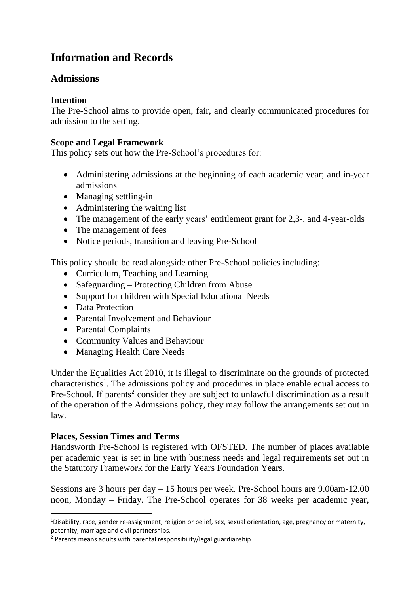# **Information and Records**

# **Admissions**

### **Intention**

The Pre-School aims to provide open, fair, and clearly communicated procedures for admission to the setting.

#### **Scope and Legal Framework**

This policy sets out how the Pre-School's procedures for:

- Administering admissions at the beginning of each academic year; and in-year admissions
- Managing settling-in
- Administering the waiting list
- The management of the early years' entitlement grant for 2,3-, and 4-year-olds
- The management of fees
- Notice periods, transition and leaving Pre-School

This policy should be read alongside other Pre-School policies including:

- Curriculum, Teaching and Learning
- Safeguarding Protecting Children from Abuse
- Support for children with Special Educational Needs
- Data Protection
- Parental Involvement and Behaviour
- Parental Complaints
- Community Values and Behaviour
- Managing Health Care Needs

Under the Equalities Act 2010, it is illegal to discriminate on the grounds of protected characteristics<sup>1</sup>. The admissions policy and procedures in place enable equal access to Pre-School. If parents<sup>2</sup> consider they are subject to unlawful discrimination as a result of the operation of the Admissions policy, they may follow the arrangements set out in law.

#### **Places, Session Times and Terms**

Handsworth Pre-School is registered with OFSTED. The number of places available per academic year is set in line with business needs and legal requirements set out in the Statutory Framework for the Early Years Foundation Years.

Sessions are 3 hours per day – 15 hours per week. Pre-School hours are 9.00am-12.00 noon, Monday – Friday. The Pre-School operates for 38 weeks per academic year,

<sup>&</sup>lt;sup>1</sup>Disability, race, gender re-assignment, religion or belief, sex, sexual orientation, age, pregnancy or maternity, paternity, marriage and civil partnerships.

<sup>2</sup> Parents means adults with parental responsibility/legal guardianship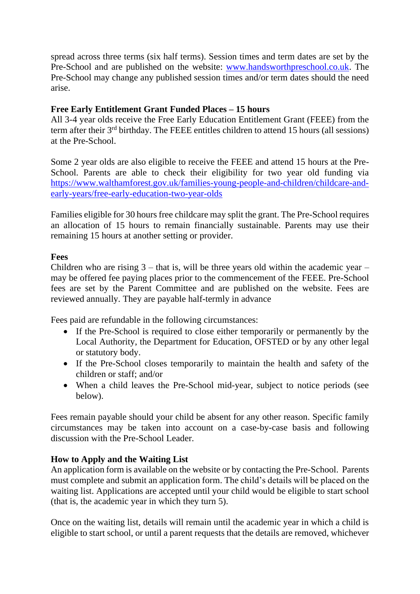spread across three terms (six half terms). Session times and term dates are set by the Pre-School and are published on the website: [www.handsworthpreschool.co.uk.](http://www.handsworthpreschool.co.uk/) The Pre-School may change any published session times and/or term dates should the need arise.

## **Free Early Entitlement Grant Funded Places – 15 hours**

All 3-4 year olds receive the Free Early Education Entitlement Grant (FEEE) from the term after their 3<sup>rd</sup> birthday. The FEEE entitles children to attend 15 hours (all sessions) at the Pre-School.

Some 2 year olds are also eligible to receive the FEEE and attend 15 hours at the Pre-School. Parents are able to check their eligibility for two year old funding via [https://www.walthamforest.gov.uk/families-young-people-and-children/childcare-and](https://www.walthamforest.gov.uk/families-young-people-and-children/childcare-and-early-years/free-early-education-two-year-olds)[early-years/free-early-education-two-year-olds](https://www.walthamforest.gov.uk/families-young-people-and-children/childcare-and-early-years/free-early-education-two-year-olds)

Families eligible for 30 hours free childcare may split the grant. The Pre-School requires an allocation of 15 hours to remain financially sustainable. Parents may use their remaining 15 hours at another setting or provider.

#### **Fees**

Children who are rising  $3$  – that is, will be three years old within the academic year – may be offered fee paying places prior to the commencement of the FEEE. Pre-School fees are set by the Parent Committee and are published on the website. Fees are reviewed annually. They are payable half-termly in advance

Fees paid are refundable in the following circumstances:

- If the Pre-School is required to close either temporarily or permanently by the Local Authority, the Department for Education, OFSTED or by any other legal or statutory body.
- If the Pre-School closes temporarily to maintain the health and safety of the children or staff; and/or
- When a child leaves the Pre-School mid-year, subject to notice periods (see below).

Fees remain payable should your child be absent for any other reason. Specific family circumstances may be taken into account on a case-by-case basis and following discussion with the Pre-School Leader.

# **How to Apply and the Waiting List**

An application form is available on the website or by contacting the Pre-School. Parents must complete and submit an application form. The child's details will be placed on the waiting list. Applications are accepted until your child would be eligible to start school (that is, the academic year in which they turn 5).

Once on the waiting list, details will remain until the academic year in which a child is eligible to start school, or until a parent requests that the details are removed, whichever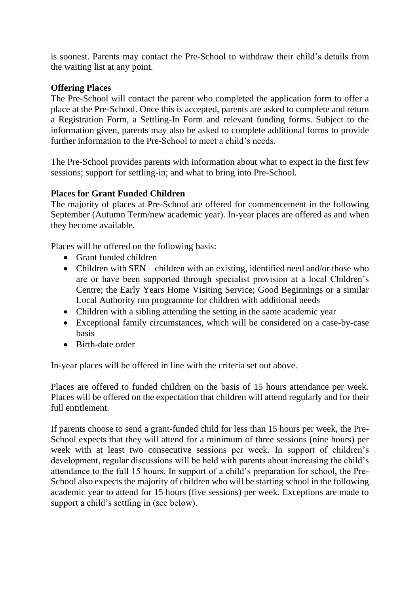is soonest. Parents may contact the Pre-School to withdraw their child's details from the waiting list at any point.

### **Offering Places**

The Pre-School will contact the parent who completed the application form to offer a place at the Pre-School. Once this is accepted, parents are asked to complete and return a Registration Form, a Settling-In Form and relevant funding forms. Subject to the information given, parents may also be asked to complete additional forms to provide further information to the Pre-School to meet a child's needs.

The Pre-School provides parents with information about what to expect in the first few sessions; support for settling-in; and what to bring into Pre-School.

# **Places for Grant Funded Children**

The majority of places at Pre-School are offered for commencement in the following September (Autumn Term/new academic year). In-year places are offered as and when they become available.

Places will be offered on the following basis:

- Grant funded children
- Children with SEN children with an existing, identified need and/or those who are or have been supported through specialist provision at a local Children's Centre; the Early Years Home Visiting Service; Good Beginnings or a similar Local Authority run programme for children with additional needs
- Children with a sibling attending the setting in the same academic year
- Exceptional family circumstances, which will be considered on a case-by-case basis
- Birth-date order

In-year places will be offered in line with the criteria set out above.

Places are offered to funded children on the basis of 15 hours attendance per week. Places will be offered on the expectation that children will attend regularly and for their full entitlement.

If parents choose to send a grant-funded child for less than 15 hours per week, the Pre-School expects that they will attend for a minimum of three sessions (nine hours) per week with at least two consecutive sessions per week. In support of children's development, regular discussions will be held with parents about increasing the child's attendance to the full 15 hours. In support of a child's preparation for school, the Pre-School also expects the majority of children who will be starting school in the following academic year to attend for 15 hours (five sessions) per week. Exceptions are made to support a child's settling in (see below).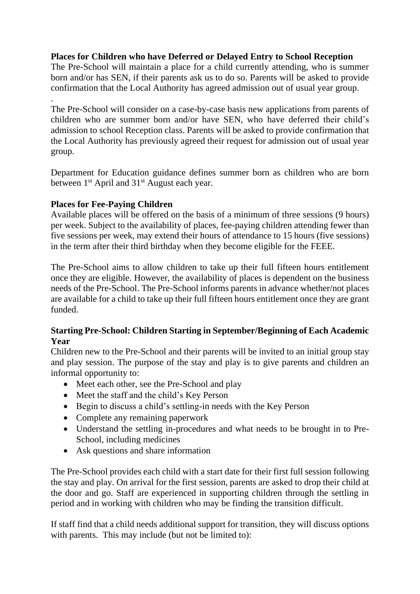## **Places for Children who have Deferred or Delayed Entry to School Reception**

The Pre-School will maintain a place for a child currently attending, who is summer born and/or has SEN, if their parents ask us to do so. Parents will be asked to provide confirmation that the Local Authority has agreed admission out of usual year group.

The Pre-School will consider on a case-by-case basis new applications from parents of children who are summer born and/or have SEN, who have deferred their child's admission to school Reception class. Parents will be asked to provide confirmation that the Local Authority has previously agreed their request for admission out of usual year group.

Department for Education guidance defines summer born as children who are born between 1<sup>st</sup> April and 31<sup>st</sup> August each year.

## **Places for Fee-Paying Children**

.

Available places will be offered on the basis of a minimum of three sessions (9 hours) per week. Subject to the availability of places, fee-paying children attending fewer than five sessions per week, may extend their hours of attendance to 15 hours (five sessions) in the term after their third birthday when they become eligible for the FEEE.

The Pre-School aims to allow children to take up their full fifteen hours entitlement once they are eligible. However, the availability of places is dependent on the business needs of the Pre-School. The Pre-School informs parents in advance whether/not places are available for a child to take up their full fifteen hours entitlement once they are grant funded.

## **Starting Pre-School: Children Starting in September/Beginning of Each Academic Year**

Children new to the Pre-School and their parents will be invited to an initial group stay and play session. The purpose of the stay and play is to give parents and children an informal opportunity to:

- Meet each other, see the Pre-School and play
- Meet the staff and the child's Key Person
- Begin to discuss a child's settling-in needs with the Key Person
- Complete any remaining paperwork
- Understand the settling in-procedures and what needs to be brought in to Pre-School, including medicines
- Ask questions and share information

The Pre-School provides each child with a start date for their first full session following the stay and play. On arrival for the first session, parents are asked to drop their child at the door and go. Staff are experienced in supporting children through the settling in period and in working with children who may be finding the transition difficult.

If staff find that a child needs additional support for transition, they will discuss options with parents. This may include (but not be limited to):